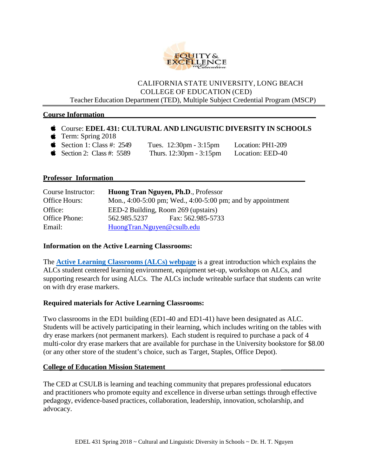

#### CALIFORNIA STATE UNIVERSITY, LONG BEACH COLLEGE OF EDUCATION (CED) Teacher Education Department (TED), Multiple Subject Credential Program (MSCP)

#### **Course Information**

- Course: **EDEL 431: CULTURAL AND LINGUISTIC DIVERSITY IN SCHOOLS**
- $\bullet$  Term: Spring 2018
- Section 1: Class #:  $2549$  Tues.  $12:30 \text{pm} 3:15 \text{pm}$  Location: PH1-209
- Section 2: Class #:  $5589$  Thurs.  $12:30 \text{pm} 3:15 \text{pm}$  Location: EED-40

#### **Professor Information**

| Course Instructor: | Huong Tran Nguyen, Ph.D., Professor                        |                   |  |  |
|--------------------|------------------------------------------------------------|-------------------|--|--|
| Office Hours:      | Mon., 4:00-5:00 pm; Wed., 4:00-5:00 pm; and by appointment |                   |  |  |
| Office:            | EED-2 Building, Room 269 (upstairs)                        |                   |  |  |
| Office Phone:      | 562.985.5237                                               | Fax: 562.985-5733 |  |  |
| Email:             | HuongTran.Nguyen@csulb.edu                                 |                   |  |  |

#### **Information on the Active Learning Classrooms:**

The **[Active Learning Classrooms](http://www.csulb.edu/divisions/aa/academic_technology/itss/css/acl.html) (ALCs) webpage** is a great introduction which explains the ALCs student centered learning environment, equipment set-up, workshops on ALCs, and supporting research for using ALCs. The ALCs include writeable surface that students can write on with dry erase markers.

#### **Required materials for Active Learning Classrooms:**

Two classrooms in the ED1 building (ED1-40 and ED1-41) have been designated as ALC. Students will be actively participating in their learning, which includes writing on the tables with dry erase markers (not permanent markers). Each student is required to purchase a pack of 4 multi-color dry erase markers that are available for purchase in the University bookstore for \$8.00 (or any other store of the student's choice, such as Target, Staples, Office Depot).

#### **College of Education Mission Statement \_\_\_\_\_\_\_\_\_\_\_\_**

The CED at CSULB is learning and teaching community that prepares professional educators and practitioners who promote equity and excellence in diverse urban settings through effective pedagogy, evidence-based practices, collaboration, leadership, innovation, scholarship, and advocacy.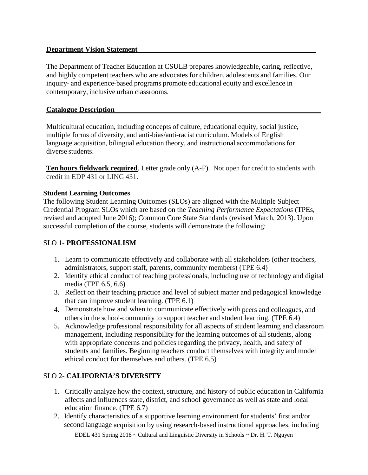## **Department Vision Statement**

The Department of Teacher Education at CSULB prepares knowledgeable, caring, reflective, and highly competent teachers who are advocates for children, adolescents and families. Our inquiry- and experience-based programs promote educational equity and excellence in contemporary, inclusive urban classrooms.

## **Catalogue Description**

Multicultural education, including concepts of culture, educational equity, social justice, multiple forms of diversity, and anti-bias/anti-racist curriculum. Models of English language acquisition, bilingual education theory, and instructional accommodations for diverse students.

**Ten hours fieldwork required**. Letter grade only (A-F). Not open for credit to students with credit in EDP 431 or LING 431.

## **Student Learning Outcomes**

The following Student Learning Outcomes (SLOs) are aligned with the Multiple Subject Credential Program SLOs which are based on the *Teaching Performance Expectations* (TPEs, revised and adopted June 2016); Common Core State Standards (revised March, 2013). Upon successful completion of the course, students will demonstrate the following:

## SLO 1- **PROFESSIONALISM**

- 1. Learn to communicate effectively and collaborate with all stakeholders (other teachers, administrators, support staff, parents, community members) (TPE 6.4)
- 2. Identify ethical conduct of teaching professionals, including use of technology and digital media (TPE 6.5, 6.6)
- 3. Reflect on their teaching practice and level of subject matter and pedagogical knowledge that can improve student learning. (TPE 6.1)
- 4. Demonstrate how and when to communicate effectively with peers and colleagues, and others in the school-community to support teacher and student learning. (TPE 6.4)
- 5. Acknowledge professional responsibility for all aspects of student learning and classroom management, including responsibility for the learning outcomes of all students, along with appropriate concerns and policies regarding the privacy, health, and safety of students and families. Beginning teachers conduct themselves with integrity and model ethical conduct for themselves and others. (TPE 6.5)

# SLO 2- **CALIFORNIA'S DIVERSITY**

- 1. Critically analyze how the context, structure, and history of public education in California affects and influences state, district, and school governance as well as state and local education finance. (TPE 6.7)
- 2. Identify characteristics of a supportive learning environment for students' first and/or second language acquisition by using research-based instructional approaches, including

EDEL 431 Spring  $2018 \sim$  Cultural and Linguistic Diversity in Schools  $\sim$  Dr. H. T. Nguyen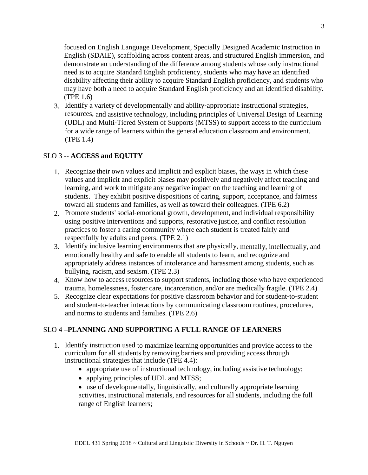focused on English Language Development, Specially Designed Academic Instruction in English (SDAIE), scaffolding across content areas, and structured English immersion, and demonstrate an understanding of the difference among students whose only instructional need is to acquire Standard English proficiency, students who may have an identified disability affecting their ability to acquire Standard English proficiency, and students who may have both a need to acquire Standard English proficiency and an identified disability. (TPE 1.6)

3. Identify a variety of developmentally and ability‐appropriate instructional strategies, resources, and assistive technology, including principles of Universal Design of Learning (UDL) and Multi‐Tiered System of Supports (MTSS) to support access to the curriculum for a wide range of learners within the general education classroom and environment. (TPE 1.4)

## SLO 3 -- **ACCESS and EQUITY**

- 1. Recognize their own values and implicit and explicit biases, the ways in which these values and implicit and explicit biases may positively and negatively affect teaching and learning, and work to mitigate any negative impact on the teaching and learning of students. They exhibit positive dispositions of caring, support, acceptance, and fairness toward all students and families, as well as toward their colleagues. (TPE 6.2)
- 2. Promote students' social‐emotional growth, development, and individual responsibility using positive interventions and supports, restorative justice, and conflict resolution practices to foster a caring community where each student is treated fairly and respectfully by adults and peers. (TPE 2.1)
- 3. Identify inclusive learning environments that are physically, mentally, intellectually, and emotionally healthy and safe to enable all students to learn, and recognize and appropriately address instances of intolerance and harassment among students, such as bullying, racism, and sexism. (TPE 2.3)
- 4. Know how to access resources to support students, including those who have experienced trauma, homelessness, foster care, incarceration, and/or are medically fragile. (TPE 2.4)
- 5. Recognize clear expectations for positive classroom behavior and for student‐to‐student and student‐to‐teacher interactions by communicating classroom routines, procedures, and norms to students and families. (TPE 2.6)

## SLO 4 –**PLANNING AND SUPPORTING A FULL RANGE OF LEARNERS**

- 1. Identify instruction used to maximize learning opportunities and provide access to the curriculum for all students by removing barriers and providing access through instructional strategies that include (TPE 4.4):
	- appropriate use of instructional technology, including assistive technology;
	- applying principles of UDL and MTSS;
	- use of developmentally, linguistically, and culturally appropriate learning activities, instructional materials, and resources for all students, including the full range of English learners;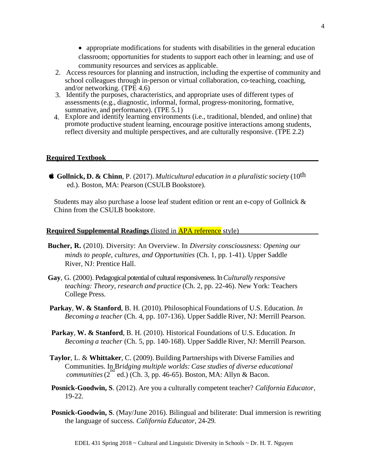• appropriate modifications for students with disabilities in the general education classroom; opportunities for students to support each other in learning; and use of community resources and services as applicable.

- 2. Access resources for planning and instruction, including the expertise of community and school colleagues through in-person or virtual collaboration, co-teaching, coaching, and/or networking. (TPE 4.6)
- 3. Identify the purposes, characteristics, and appropriate uses of different types of assessments (e.g., diagnostic, informal, formal, progress‐monitoring, formative, summative, and performance). (TPE 5.1)
- 4. Explore and identify learning environments (i.e., traditional, blended, and online) that promote productive student learning, encourage positive interactions among students, reflect diversity and multiple perspectives, and are culturally responsive. (TPE 2.2)

#### **Required Textbook**

 **Gollnick, D. & Chinn**, P. (2017). *Multicultural education in a pluralistic society* (10th ed.). Boston, MA: Pearson (CSULB Bookstore).

Students may also purchase a loose leaf student edition or rent an e-copy of Gollnick & Chinn from the CSULB bookstore.

#### **Required Supplemental Readings** (listed in APA reference style)

- **Bucher, R.** (2010). Diversity: An Overview. In *Diversity consciousness: Opening our minds to people, cultures, and Opportunities* (Ch. 1, pp. 1-41). Upper Saddle River, NJ: Prentice Hall.
- **Gay**, G. (2000). Pedagogical potential of cultural responsiveness. In *Culturally responsive teaching: Theory, research and practice* (Ch. 2, pp. 22-46). New York: Teachers College Press.
- **Parkay**, **W. & Stanford**, B. H. (2010). Philosophical Foundations of U.S. Education*. In Becoming a teacher* (Ch. 4, pp. 107-136). Upper Saddle River, NJ: Merrill Pearson.
- **Parkay**, **W. & Stanford**, B. H. (2010). Historical Foundations of U.S. Education*. In Becoming a teacher* (Ch. 5, pp. 140-168). Upper Saddle River, NJ: Merrill Pearson.
- **Taylor**, L. & **Whittaker**, C. (2009). Building Partnerships with Diverse Families and Communities. In B*ridging multiple worlds: Case studies of diverse educational communities* (2<sup>nd</sup> ed.) (Ch. 3, pp. 46-65). Boston, MA: Allyn & Bacon.
- **Posnick-Goodwin, S**. (2012). Are you a culturally competent teacher? *California Educator,* 19-22.
- **Posnick-Goodwin, S.** (May/June 2016). Bilingual and biliterate: Dual immersion is rewriting the language of success. *California Educator,* 24-29.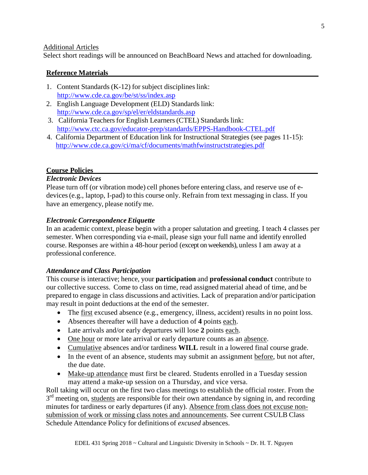#### Additional Articles

Select short readings will be announced on BeachBoard News and attached for downloading.

#### **Reference Materials**

- 1. Content Standards (K-12) for subject disciplines link: <http://www.cde.ca.gov/be/st/ss/index.asp>
- 2. English Language Development (ELD) Standards link: <http://www.cde.ca.gov/sp/el/er/eldstandards.asp>
- 3. California Teachers for English Learners (CTEL) Standards link: <http://www.ctc.ca.gov/educator-prep/standards/EPPS-Handbook-CTEL.pdf>
- 4. California Department of Education link for Instructional Strategies (see pages 11-15): <http://www.cde.ca.gov/ci/ma/cf/documents/mathfwinstructstrategies.pdf>

## **Course Policies**

#### *Electronic Devices*

Please turn off (or vibration mode) cell phones before entering class, and reserve use of edevices(e.g., laptop, I-pad) to this course only. Refrain from text messaging in class. If you have an emergency, please notify me.

## *Electronic Correspondence Etiquette*

In an academic context, please begin with a proper salutation and greeting. I teach 4 classes per semester. When corresponding via e-mail, please sign your full name and identify enrolled course. Responses are within a 48-hour period (except on weekends), unless I am away at a professional conference.

#### *Attendance and Class Participation*

This course is interactive; hence, your **participation** and **professional conduct** contribute to our collective success. Come to class on time, read assigned material ahead of time, and be prepared to engage in class discussions and activities. Lack of preparation and/or participation may result in point deductions at the end of the semester.

- The <u>first</u> excused absence (e.g., emergency, illness, accident) results in no point loss.
- Absences thereafter will have a deduction of **4** points each.
- Late arrivals and/or early departures will lose **2** points each.
- One hour or more late arrival or early departure counts as an absence.
- Cumulative absences and/or tardiness **WILL** result in a lowered final course grade.
- In the event of an absence, students may submit an assignment before, but not after, the due date.
- Make-up attendance must first be cleared. Students enrolled in a Tuesday session may attend a make-up session on a Thursday, and vice versa.

Roll taking will occur on the first two class meetings to establish the official roster. From the  $3<sup>rd</sup>$  meeting on, students are responsible for their own attendance by signing in, and recording minutes for tardiness or early departures (if any). Absence from class does not excuse nonsubmission of work or missing class notes and announcements. See current CSULB Class Schedule Attendance Policy for definitions of *excused* absences.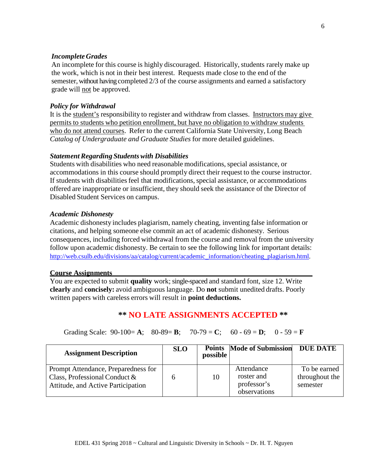#### *Incomplete Grades*

An incomplete for this course is highly discouraged. Historically, students rarely make up the work, which is not in their best interest. Requests made close to the end of the semester, without having completed 2/3 of the course assignments and earned a satisfactory grade will not be approved.

#### *Policy for Withdrawal*

It is the student's responsibility to register and withdraw from classes. Instructors may give permits to students who petition enrollment, but have no obligation to withdraw students who do not attend courses. Refer to the current California State University, Long Beach *Catalog of Undergraduate and Graduate Studies* for more detailed guidelines.

#### *StatementRegarding Students with Disabilities*

Students with disabilities who need reasonable modifications, special assistance, or accommodations in this course should promptly direct their request to the course instructor. If students with disabilities feel that modifications, special assistance, or accommodations offered are inappropriate or insufficient, they should seek the assistance of the Director of Disabled Student Services on campus.

#### *Academic Dishonesty*

Academic dishonesty includes plagiarism, namely cheating, inventing false information or citations, and helping someone else commit an act of academic dishonesty. Serious consequences, including forced withdrawal from the course and removal from the university follow upon academic dishonesty. Be certain to see the following link for important details: [http://web.csulb.edu/divisions/aa/catalog/current/academic\\_information/cheating\\_plagiarism.html.](http://web.csulb.edu/divisions/aa/catalog/current/academic_information/cheating_plagiarism.html)

#### **Course Assignments** \_

You are expected to submit **quality** work; single-spaced and standard font, size 12. Write **clearly** and **concisely:** avoid ambiguous language. Do **not** submit unedited drafts. Poorly written papers with careless errors will result in **point deductions.**

## **\*\* NO LATE ASSIGNMENTS ACCEPTED \*\***

Grading Scale:  $90-100 = A$ ;  $80-89 = B$ ;  $70-79 = C$ ;  $60-69 = D$ ;  $0-59 = F$ 

| <b>Assignment Description</b>                                                                                 | <b>SLO</b> | possible | <b>Points</b> Mode of Submission                        | <b>DUE DATE</b>                            |
|---------------------------------------------------------------------------------------------------------------|------------|----------|---------------------------------------------------------|--------------------------------------------|
| Prompt Attendance, Preparedness for<br>Class, Professional Conduct $\&$<br>Attitude, and Active Participation | 6          | 10       | Attendance<br>roster and<br>professor's<br>observations | To be earned<br>throughout the<br>semester |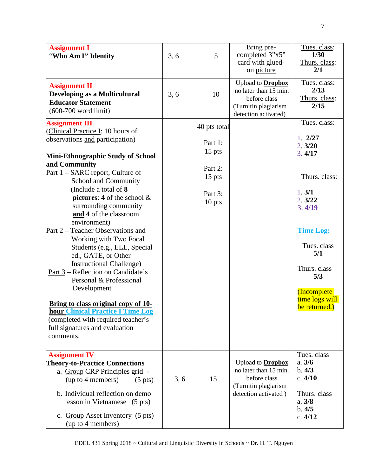| <b>Assignment I</b><br>"Who Am I" Identity                                                                                                                                                                                                                                                                                                                                                                                                                                                                                                                                                                                                                                                                                                                             | 3, 6 | 5                                                                               | Bring pre-<br>completed 3"x5"<br>card with glued-<br>on picture                                                   | Tues. class:<br>1/30<br>Thurs. class:<br>2/1                                                                                                                                                                |
|------------------------------------------------------------------------------------------------------------------------------------------------------------------------------------------------------------------------------------------------------------------------------------------------------------------------------------------------------------------------------------------------------------------------------------------------------------------------------------------------------------------------------------------------------------------------------------------------------------------------------------------------------------------------------------------------------------------------------------------------------------------------|------|---------------------------------------------------------------------------------|-------------------------------------------------------------------------------------------------------------------|-------------------------------------------------------------------------------------------------------------------------------------------------------------------------------------------------------------|
| <b>Assignment II</b><br>Developing as a Multicultural<br><b>Educator Statement</b><br>$(600-700$ word limit)                                                                                                                                                                                                                                                                                                                                                                                                                                                                                                                                                                                                                                                           | 3, 6 | 10                                                                              | Upload to <b>Dropbox</b><br>no later than 15 min.<br>before class<br>(Turnitin plagiarism<br>detection activated) | Tues. class:<br>2/13<br>Thurs. class:<br>2/15                                                                                                                                                               |
| <b>Assignment III</b><br>(Clinical Practice I: 10 hours of<br>observations and participation)<br>Mini-Ethnographic Study of School<br>and Community<br>Part 1 – SARC report, Culture of<br>School and Community<br>(Include a total of 8)<br>pictures: 4 of the school $\&$<br>surrounding community<br>and 4 of the classroom<br>environment)<br>Part 2 – Teacher Observations and<br>Working with Two Focal<br>Students (e.g., ELL, Special<br>ed., GATE, or Other<br><b>Instructional Challenge)</b><br>Part 3 - Reflection on Candidate's<br>Personal & Professional<br>Development<br>Bring to class original copy of 10-<br><b>hour Clinical Practice I Time Log</b><br>(completed with required teacher's<br><u>full</u> signatures and evaluation<br>comments. |      | 40 pts total<br>Part 1:<br>$15$ pts<br>Part 2:<br>$15$ pts<br>Part 3:<br>10 pts |                                                                                                                   | Tues. class:<br>1.2/27<br>2.3/20<br>3.4/17<br>Thurs. class:<br>1.3/1<br>2.3/22<br>3.4/19<br><b>Time Log:</b><br>Tues. class<br>5/1<br>Thurs. class<br>5/3<br>(Incomplete<br>time logs will<br>be returned.) |
| <b>Assignment IV</b><br><b>Theory-to-Practice Connections</b><br>a. Group CRP Principles grid -<br>(up to 4 members)<br>$(5 \text{ pts})$<br>b. Individual reflection on demo<br>lesson in Vietnamese (5 pts)<br>c. Group Asset Inventory (5 pts)<br>(up to 4 members)                                                                                                                                                                                                                                                                                                                                                                                                                                                                                                 | 3, 6 | 15                                                                              | Upload to <b>Dropbox</b><br>no later than 15 min.<br>before class<br>(Turnitin plagiarism<br>detection activated) | Tues. class<br>a. 3/6<br>b.4/3<br>c.4/10<br>Thurs. class<br>a. 3/8<br>b.4/5<br>c. 4/12                                                                                                                      |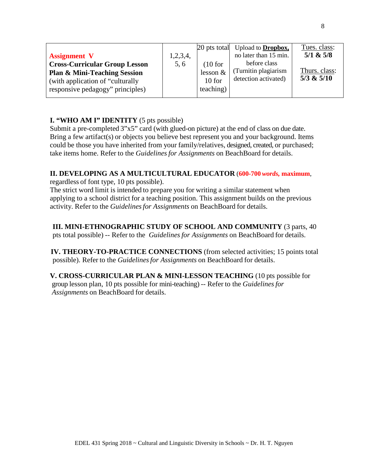|                                         |          |             | 20 pts total Upload to <b>Dropbox</b> , | Tues. class:   |
|-----------------------------------------|----------|-------------|-----------------------------------------|----------------|
| <b>Assignment V</b>                     | 1,2,3,4, |             | no later than 15 min.                   | $5/1$ & $5/8$  |
| <b>Cross-Curricular Group Lesson</b>    | 5, 6     | (10 for     | before class                            |                |
| <b>Plan &amp; Mini-Teaching Session</b> |          | $lesson \&$ | (Turnitin plagiarism)                   | Thurs. class:  |
| (with application of "culturally")      |          | $10$ for    | detection activated)                    | $5/3$ & $5/10$ |
| responsive pedagogy" principles)        |          | teaching)   |                                         |                |
|                                         |          |             |                                         |                |

# **I. "WHO AM I" IDENTITY** (5 pts possible)

Submit a pre-completed 3"x5" card (with glued-on picture) at the end of class on due date. Bring a few artifact(s) or objects you believe best represent you and your background. Items could be those you have inherited from your family/relatives, designed, created, or purchased; take items home. Refer to the *Guidelinesfor Assignments* on BeachBoard for details.

# **II. DEVELOPING AS A MULTICULTURAL EDUCATOR** (**600-700** *words,* **maximum**,

regardless of font type, 10 pts possible).

The strict word limit is intended to prepare you for writing a similar statement when applying to a school district for a teaching position. This assignment builds on the previous activity. Refer to the *Guidelinesfor Assignments* on BeachBoard for details.

# **III. MINI-ETHNOGRAPHIC STUDY OF SCHOOL AND COMMUNITY** (3 parts, 40

pts total possible) -- Refer to the *Guidelinesfor Assignments* on BeachBoard for details.

 **IV. THEORY-TO-PRACTICE CONNECTIONS** (from selected activities; 15 points total possible). Refer to the *Guidelinesfor Assignments* on BeachBoard for details.

 **V. CROSS-CURRICULAR PLAN & MINI-LESSON TEACHING** (10 pts possible for group lesson plan, 10 pts possible for mini-teaching) -- Refer to the *Guidelinesfor Assignments* on BeachBoard for details.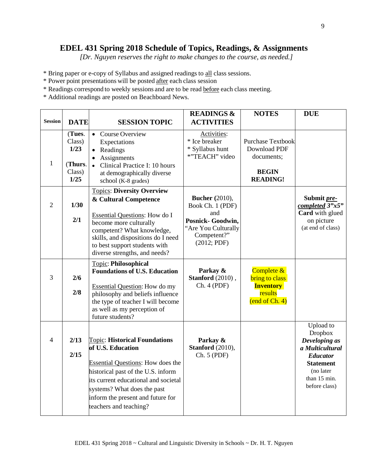# **EDEL 431 Spring 2018 Schedule of Topics, Readings, & Assignments**

*[Dr. Nguyen reserves the right to make changes to the course, as needed.]*

- \* Bring paper or e-copy of Syllabus and assigned readings to all class sessions.
- \* Power point presentations will be posted after each class session
- \* Readings correspond to weekly sessions and are to be read before each class meeting.
- \* Additional readings are posted on Beachboard News.

| <b>Session</b> | <b>DATE</b>                                           | <b>SESSION TOPIC</b>                                                                                                                                                                                                                                                              | <b>READINGS &amp;</b><br><b>ACTIVITIES</b>                                                                                 | <b>NOTES</b>                                                                              | <b>DUE</b>                                                                                                                                           |
|----------------|-------------------------------------------------------|-----------------------------------------------------------------------------------------------------------------------------------------------------------------------------------------------------------------------------------------------------------------------------------|----------------------------------------------------------------------------------------------------------------------------|-------------------------------------------------------------------------------------------|------------------------------------------------------------------------------------------------------------------------------------------------------|
| $\mathbf{1}$   | (Tues.<br>Class)<br>1/23<br>(Thurs.<br>Class)<br>1/25 | Course Overview<br>$\bullet$<br>Expectations<br>• Readings<br>Assignments<br>Clinical Practice I: 10 hours<br>$\bullet$<br>at demographically diverse<br>school (K-8 grades)                                                                                                      | Activities:<br>* Ice breaker<br>* Syllabus hunt<br>*"TEACH" video                                                          | <b>Purchase Textbook</b><br>Download PDF<br>documents;<br><b>BEGIN</b><br><b>READING!</b> |                                                                                                                                                      |
| $\overline{2}$ | 1/30<br>2/1                                           | <b>Topics: Diversity Overview</b><br>& Cultural Competence<br><b>Essential Questions:</b> How do I<br>become more culturally<br>competent? What knowledge,<br>skills, and dispositions do I need<br>to best support students with<br>diverse strengths, and needs?                | <b>Bucher</b> (2010),<br>Book Ch. 1 (PDF)<br>and<br>Posnick- Goodwin,<br>"Are You Culturally<br>Competent?"<br>(2012; PDF) |                                                                                           | Submit pre-<br>completed 3"x5"<br>Card with glued<br>on picture<br>(at end of class)                                                                 |
| 3              | 2/6<br>2/8                                            | <b>Topic: Philosophical</b><br><b>Foundations of U.S. Education</b><br><b>Essential Question:</b> How do my<br>philosophy and beliefs influence<br>the type of teacher I will become<br>as well as my perception of<br>future students?                                           | Parkay &<br>Stanford (2010),<br>Ch. 4 (PDF)                                                                                | Complete &<br><b>bring to class</b><br><b>Inventory</b><br>results<br>(end of Ch. 4)      |                                                                                                                                                      |
| $\overline{4}$ | 2/13<br>2/15                                          | <b>Topic: Historical Foundations</b><br>of U.S. Education<br><b>Essential Questions:</b> How does the<br>historical past of the U.S. inform<br>its current educational and societal<br>systems? What does the past<br>inform the present and future for<br>teachers and teaching? | Parkay &<br>Stanford (2010),<br>Ch. 5 (PDF)                                                                                |                                                                                           | Upload to<br><b>Dropbox</b><br>Developing as<br>a Multicultural<br><b>Educator</b><br><b>Statement</b><br>(no later<br>than 15 min.<br>before class) |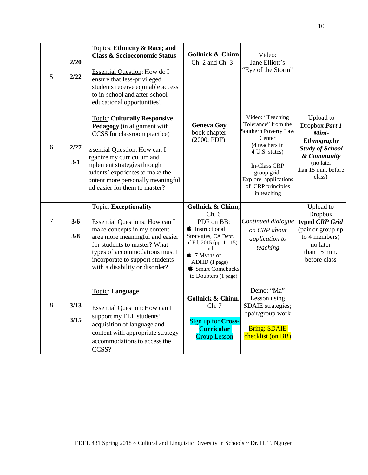| 5 | 2/20<br>2/22 | <b>Topics: Ethnicity &amp; Race; and</b><br><b>Class &amp; Socioeconomic Status</b><br><b>Essential Question:</b> How do I<br>ensure that less-privileged<br>students receive equitable access<br>to in-school and after-school<br>educational opportunities?                                                    | Gollnick & Chinn,<br>Ch. 2 and Ch. 3                                                                                                                                                                                       | Video:<br>Jane Elliott's<br>"Eye of the Storm"                                                                                                                                                           |                                                                                                                                                   |
|---|--------------|------------------------------------------------------------------------------------------------------------------------------------------------------------------------------------------------------------------------------------------------------------------------------------------------------------------|----------------------------------------------------------------------------------------------------------------------------------------------------------------------------------------------------------------------------|----------------------------------------------------------------------------------------------------------------------------------------------------------------------------------------------------------|---------------------------------------------------------------------------------------------------------------------------------------------------|
| 6 | 2/27<br>3/1  | <b>Topic: Culturally Responsive</b><br>Pedagogy (in alignment with<br>CCSS for classroom practice)<br><b>Issential Question: How can I</b><br>rganize my curriculum and<br>mplement strategies through<br>tudents' experiences to make the<br>bntent more personally meaningful<br>nd easier for them to master? | <b>Geneva Gay</b><br>book chapter<br>(2000; PDF)                                                                                                                                                                           | Video: "Teaching<br>Tolerance" from the<br>Southern Poverty Law<br>Center<br>(4 teachers in<br>4 U.S. states)<br>In-Class CRP<br>group grid:<br>Explore applications<br>of CRP principles<br>in teaching | Upload to<br>Dropbox Part 1<br>Mini-<br><b>Ethnography</b><br><b>Study of School</b><br>& Community<br>(no later<br>than 15 min. before<br>class) |
| 7 | 3/6<br>3/8   | <b>Topic: Exceptionality</b><br><b>Essential Questions:</b> How can I<br>make concepts in my content<br>area more meaningful and easier<br>for students to master? What<br>types of accommodations must I<br>incorporate to support students<br>with a disability or disorder?                                   | <b>Gollnick &amp; Chinn.</b><br>Ch.6<br>PDF on BB:<br><b>i</b> Instructional<br>Strategies, CA Dept.<br>of Ed, 2015 (pp. 11-15)<br>and<br>$\bullet$ 7 Myths of<br>ADHD (1 page)<br>Smart Comebacks<br>to Doubters (1 page) | Continued dialogue<br>on CRP about<br>application to<br>teaching                                                                                                                                         | Upload to<br><b>Dropbox</b><br>typed CRP Grid<br>(pair or group up<br>to 4 members)<br>no later<br>than 15 min.<br>before class                   |
| 8 | 3/13<br>3/15 | Topic: Language<br><b>Essential Question: How can I</b><br>support my ELL students'<br>acquisition of language and<br>content with appropriate strategy<br>accommodations to access the<br>CCSS?                                                                                                                 | Gollnick & Chinn,<br>Ch. 7<br>Sign up for Cross-<br><b>Curricular</b><br><b>Group Lesson</b>                                                                                                                               | Demo: "Ma"<br>Lesson using<br>SDAIE strategies;<br>*pair/group work<br><b>Bring: SDAIE</b><br>checklist (on BB)                                                                                          |                                                                                                                                                   |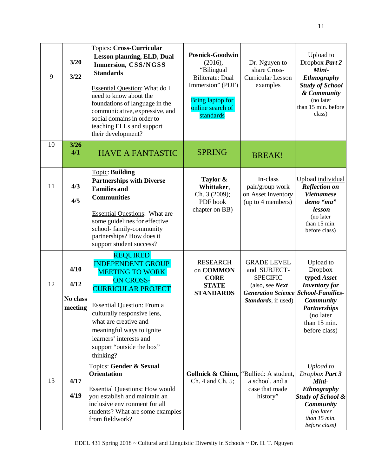| 9  | 3/20<br>3/22                        | <b>Topics: Cross-Curricular</b><br><b>Lesson planning, ELD, Dual</b><br>Immersion, CSS/NGSS<br><b>Standards</b><br><b>Essential Question:</b> What do I<br>need to know about the<br>foundations of language in the<br>communicative, expressive, and<br>social domains in order to<br>teaching ELLs and support<br>their development? | <b>Posnick-Goodwin</b><br>(2016),<br>"Bilingual<br><b>Biliterate: Dual</b><br>Immersion" (PDF)<br><b>Bring laptop for</b><br>online search of<br>standards | Dr. Nguyen to<br>share Cross-<br><b>Curricular Lesson</b><br>examples                                                        | Upload to<br>Dropbox Part 2<br>Mini-<br><b>Ethnography</b><br><b>Study of School</b><br>& Community<br>(no later<br>than 15 min. before<br>class)                               |
|----|-------------------------------------|----------------------------------------------------------------------------------------------------------------------------------------------------------------------------------------------------------------------------------------------------------------------------------------------------------------------------------------|------------------------------------------------------------------------------------------------------------------------------------------------------------|------------------------------------------------------------------------------------------------------------------------------|---------------------------------------------------------------------------------------------------------------------------------------------------------------------------------|
| 10 | $3/26$<br>4/1                       | <b>HAVE A FANTASTIC</b>                                                                                                                                                                                                                                                                                                                | <b>SPRING</b>                                                                                                                                              | <b>BREAK!</b>                                                                                                                |                                                                                                                                                                                 |
| 11 | 4/3<br>4/5                          | <b>Topic: Building</b><br><b>Partnerships with Diverse</b><br><b>Families and</b><br><b>Communities</b><br><b>Essential Questions: What are</b><br>some guidelines for effective<br>school-family-community<br>partnerships? How does it<br>support student success?                                                                   | Taylor &<br>Whittaker,<br>Ch. 3 (2009);<br>PDF book<br>chapter on BB)                                                                                      | In-class<br>pair/group work<br>on Asset Inventory<br>(up to 4 members)                                                       | Upload individual<br><b>Reflection on</b><br><b>Vietnamese</b><br>demo "ma"<br>lesson<br>(no later<br>than 15 min.<br>before class)                                             |
| 12 | 4/10<br>4/12<br>No class<br>meeting | <b>REQUIRED</b><br><b>INDEPENDENT GROUP</b><br><b>MEETING TO WORK</b><br><b>ON CROSS-</b><br><b>CURRICULAR PROJECT</b><br><b>Essential Question:</b> From a<br>culturally responsive lens,<br>what are creative and<br>meaningful ways to ignite<br>learners' interests and<br>support "outside the box"<br>thinking?                  | <b>RESEARCH</b><br>on COMMON<br><b>CORE</b><br><b>STATE</b><br><b>STANDARDS</b>                                                                            | <b>GRADE LEVEL</b><br>and SUBJECT-<br><b>SPECIFIC</b><br>(also, see Next<br><b>Generation Science</b><br>Standards, if used) | Upload to<br>Dropbox<br>typed Asset<br><b>Inventory</b> for<br><b>School-Families-</b><br><b>Community</b><br><b>Partnerships</b><br>(no later<br>than 15 min.<br>before class) |
| 13 | 4/17<br>4/19                        | Topics: Gender & Sexual<br><b>Orientation</b><br><b>Essential Questions: How would</b><br>vou establish and maintain an<br>inclusive environment for all<br>students? What are some examples<br>from fieldwork?                                                                                                                        | Gollnick & Chinn,<br>Ch. 4 and Ch. 5;                                                                                                                      | 'Bullied: A student,<br>a school, and a<br>case that made<br>history"                                                        | Upload to<br>Dropbox Part 3<br>Mini-<br>Ethnography<br><b>Study of School &amp;</b><br><b>Community</b><br>(no later<br>than 15 min.<br>before class)                           |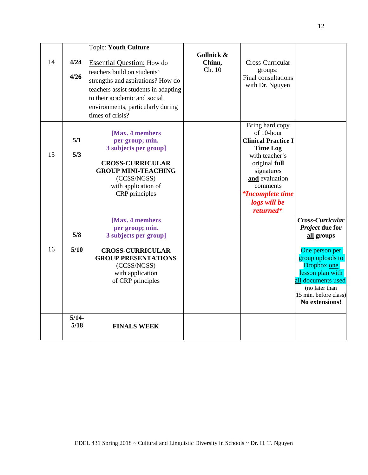|    |                 | <b>Topic: Youth Culture</b>                                                                                                                                                                                                            |                                |                                                                                                                                                                                                                       |                                                                                                                                                                                                               |
|----|-----------------|----------------------------------------------------------------------------------------------------------------------------------------------------------------------------------------------------------------------------------------|--------------------------------|-----------------------------------------------------------------------------------------------------------------------------------------------------------------------------------------------------------------------|---------------------------------------------------------------------------------------------------------------------------------------------------------------------------------------------------------------|
| 14 | 4/24<br>4/26    | <b>Essential Question:</b> How do<br>teachers build on students'<br>strengths and aspirations? How do<br>teachers assist students in adapting<br>to their academic and social<br>environments, particularly during<br>times of crisis? | Gollnick &<br>Chinn,<br>Ch. 10 | Cross-Curricular<br>groups:<br>Final consultations<br>with Dr. Nguyen                                                                                                                                                 |                                                                                                                                                                                                               |
| 15 | 5/1<br>5/3      | [Max. 4 members<br>per group; min.<br>3 subjects per group]<br><b>CROSS-CURRICULAR</b><br><b>GROUP MINI-TEACHING</b><br>(CCSS/NGSS)<br>with application of<br>CRP principles                                                           |                                | Bring hard copy<br>of 10-hour<br><b>Clinical Practice I</b><br><b>Time Log</b><br>with teacher's<br>original full<br>signatures<br>and evaluation<br>comments<br><i>*Incomplete time</i><br>logs will be<br>returned* |                                                                                                                                                                                                               |
| 16 | 5/8<br>5/10     | [Max. 4 members<br>per group; min.<br>3 subjects per group]<br><b>CROSS-CURRICULAR</b><br><b>GROUP PRESENTATIONS</b><br>(CCSS/NGSS)<br>with application<br>of CRP principles                                                           |                                |                                                                                                                                                                                                                       | Cross-Curricular<br>Project due for<br>all groups<br>One person per<br>group uploads to<br>Dropbox one<br>lesson plan with<br>all documents used<br>(no later than<br>15 min. before class)<br>No extensions! |
|    | $5/14-$<br>5/18 | <b>FINALS WEEK</b>                                                                                                                                                                                                                     |                                |                                                                                                                                                                                                                       |                                                                                                                                                                                                               |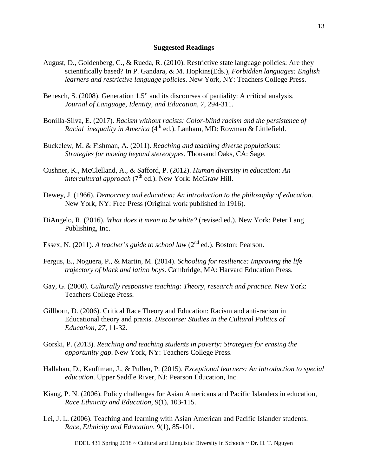#### **Suggested Readings**

- August, D., Goldenberg, C., & Rueda, R. (2010). Restrictive state language policies: Are they scientifically based? In P. Gandara, & M. Hopkins(Eds.), *Forbidden languages: English learners and restrictive language policies*. New York, NY: Teachers College Press.
- Benesch, S. (2008). Generation 1.5" and its discourses of partiality: A critical analysis. *Journal of Language, Identity, and Education*, *7*, 294-311.
- Bonilla-Silva, E. (2017). *Racism without racists: Color-blind racism and the persistence of Racial inequality in America* (4<sup>th</sup> ed.). Lanham, MD: Rowman & Littlefield.
- Buckelew, M. & Fishman, A. (2011). *Reaching and teaching diverse populations: Strategies for moving beyond stereotypes*. Thousand Oaks, CA: Sage.
- Cushner, K., McClelland, A., & Safford, P. (2012). *Human diversity in education: An intercultural approach* (7<sup>th</sup> ed.). New York: McGraw Hill.
- Dewey, J. (1966). *Democracy and education: An introduction to the philosophy of education*. New York, NY: Free Press (Original work published in 1916).
- DiAngelo, R. (2016). *What does it mean to be white?* (revised ed.). New York: Peter Lang Publishing, Inc.
- Essex, N. (2011). *A teacher's guide to school law* (2<sup>nd</sup> ed.). Boston: Pearson.
- Fergus, E., Noguera, P., & Martin, M. (2014). *Schooling for resilience: Improving the life trajectory of black and latino boys.* Cambridge, MA: Harvard Education Press.
- Gay, G. (2000). *Culturally responsive teaching: Theory, research and practice*. New York: Teachers College Press.
- Gillborn, D. (2006). Critical Race Theory and Education: Racism and anti-racism in Educational theory and praxis. *Discourse: Studies in the Cultural Politics of Education*, *27*, 11-32.
- Gorski, P. (2013). *Reaching and teaching students in poverty: Strategies for erasing the opportunity gap*. New York, NY: Teachers College Press.
- Hallahan, D., Kauffman, J., & Pullen, P. (2015). *Exceptional learners: An introduction to special education*. Upper Saddle River, NJ: Pearson Education, Inc.
- Kiang, P. N. (2006). Policy challenges for Asian Americans and Pacific Islanders in education, *Race Ethnicity and Education*, *9*(1), 103-115.
- Lei, J. L. (2006). Teaching and learning with Asian American and Pacific Islander students. *Race, Ethnicity and Education*, *9*(1), 85-101.